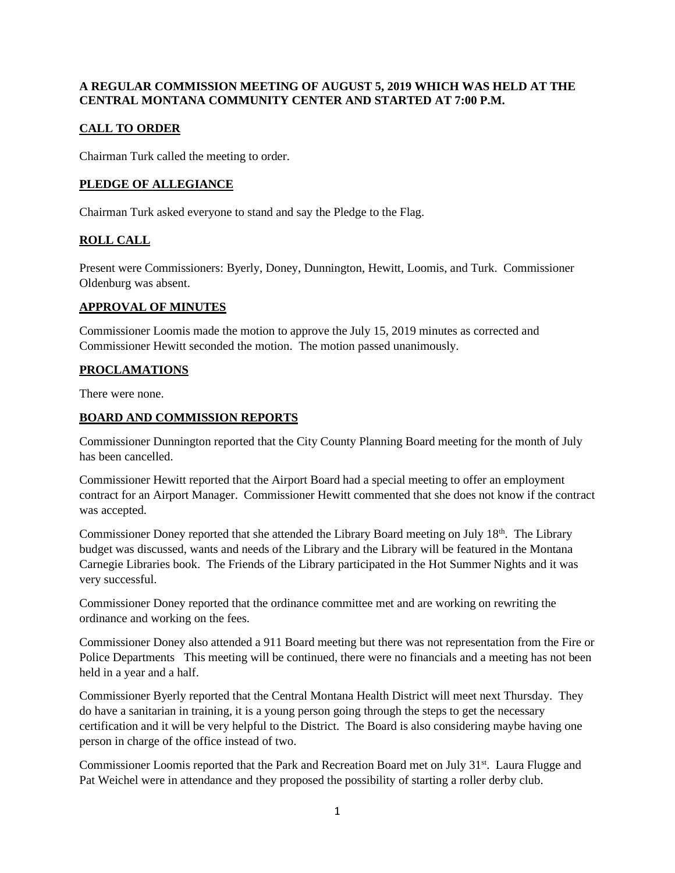#### **A REGULAR COMMISSION MEETING OF AUGUST 5, 2019 WHICH WAS HELD AT THE CENTRAL MONTANA COMMUNITY CENTER AND STARTED AT 7:00 P.M.**

## **CALL TO ORDER**

Chairman Turk called the meeting to order.

## **PLEDGE OF ALLEGIANCE**

Chairman Turk asked everyone to stand and say the Pledge to the Flag.

# **ROLL CALL**

Present were Commissioners: Byerly, Doney, Dunnington, Hewitt, Loomis, and Turk. Commissioner Oldenburg was absent.

#### **APPROVAL OF MINUTES**

Commissioner Loomis made the motion to approve the July 15, 2019 minutes as corrected and Commissioner Hewitt seconded the motion. The motion passed unanimously.

## **PROCLAMATIONS**

There were none.

## **BOARD AND COMMISSION REPORTS**

Commissioner Dunnington reported that the City County Planning Board meeting for the month of July has been cancelled.

Commissioner Hewitt reported that the Airport Board had a special meeting to offer an employment contract for an Airport Manager. Commissioner Hewitt commented that she does not know if the contract was accepted.

Commissioner Doney reported that she attended the Library Board meeting on July 18<sup>th</sup>. The Library budget was discussed, wants and needs of the Library and the Library will be featured in the Montana Carnegie Libraries book. The Friends of the Library participated in the Hot Summer Nights and it was very successful.

Commissioner Doney reported that the ordinance committee met and are working on rewriting the ordinance and working on the fees.

Commissioner Doney also attended a 911 Board meeting but there was not representation from the Fire or Police Departments This meeting will be continued, there were no financials and a meeting has not been held in a year and a half.

Commissioner Byerly reported that the Central Montana Health District will meet next Thursday. They do have a sanitarian in training, it is a young person going through the steps to get the necessary certification and it will be very helpful to the District. The Board is also considering maybe having one person in charge of the office instead of two.

Commissioner Loomis reported that the Park and Recreation Board met on July 31<sup>st</sup>. Laura Flugge and Pat Weichel were in attendance and they proposed the possibility of starting a roller derby club.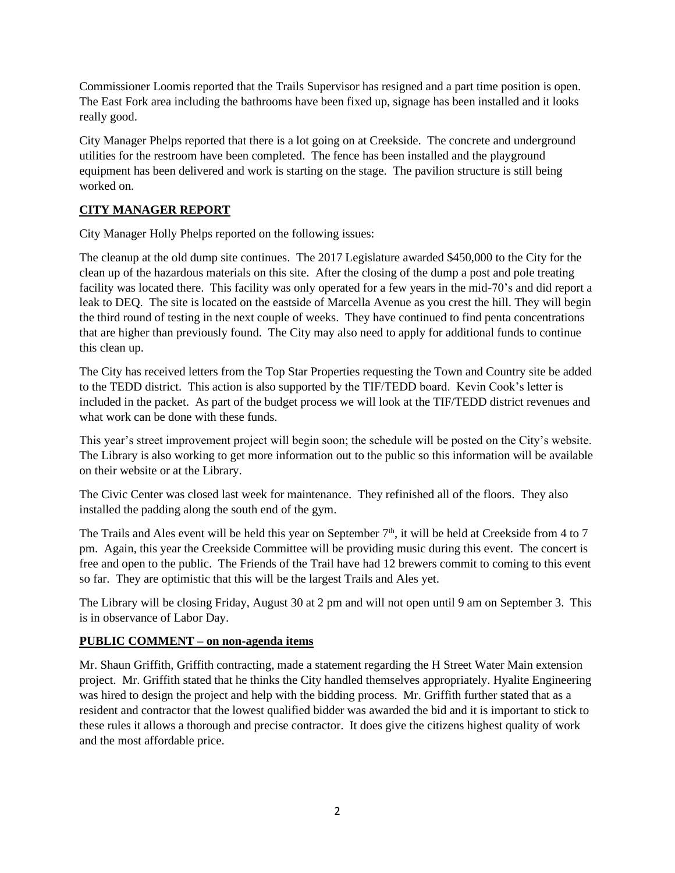Commissioner Loomis reported that the Trails Supervisor has resigned and a part time position is open. The East Fork area including the bathrooms have been fixed up, signage has been installed and it looks really good.

City Manager Phelps reported that there is a lot going on at Creekside. The concrete and underground utilities for the restroom have been completed. The fence has been installed and the playground equipment has been delivered and work is starting on the stage. The pavilion structure is still being worked on.

## **CITY MANAGER REPORT**

City Manager Holly Phelps reported on the following issues:

The cleanup at the old dump site continues. The 2017 Legislature awarded \$450,000 to the City for the clean up of the hazardous materials on this site. After the closing of the dump a post and pole treating facility was located there. This facility was only operated for a few years in the mid-70's and did report a leak to DEQ. The site is located on the eastside of Marcella Avenue as you crest the hill. They will begin the third round of testing in the next couple of weeks. They have continued to find penta concentrations that are higher than previously found. The City may also need to apply for additional funds to continue this clean up.

The City has received letters from the Top Star Properties requesting the Town and Country site be added to the TEDD district. This action is also supported by the TIF/TEDD board. Kevin Cook's letter is included in the packet. As part of the budget process we will look at the TIF/TEDD district revenues and what work can be done with these funds.

This year's street improvement project will begin soon; the schedule will be posted on the City's website. The Library is also working to get more information out to the public so this information will be available on their website or at the Library.

The Civic Center was closed last week for maintenance. They refinished all of the floors. They also installed the padding along the south end of the gym.

The Trails and Ales event will be held this year on September  $7<sup>th</sup>$ , it will be held at Creekside from 4 to 7 pm. Again, this year the Creekside Committee will be providing music during this event. The concert is free and open to the public. The Friends of the Trail have had 12 brewers commit to coming to this event so far. They are optimistic that this will be the largest Trails and Ales yet.

The Library will be closing Friday, August 30 at 2 pm and will not open until 9 am on September 3. This is in observance of Labor Day.

## **PUBLIC COMMENT – on non-agenda items**

Mr. Shaun Griffith, Griffith contracting, made a statement regarding the H Street Water Main extension project. Mr. Griffith stated that he thinks the City handled themselves appropriately. Hyalite Engineering was hired to design the project and help with the bidding process. Mr. Griffith further stated that as a resident and contractor that the lowest qualified bidder was awarded the bid and it is important to stick to these rules it allows a thorough and precise contractor. It does give the citizens highest quality of work and the most affordable price.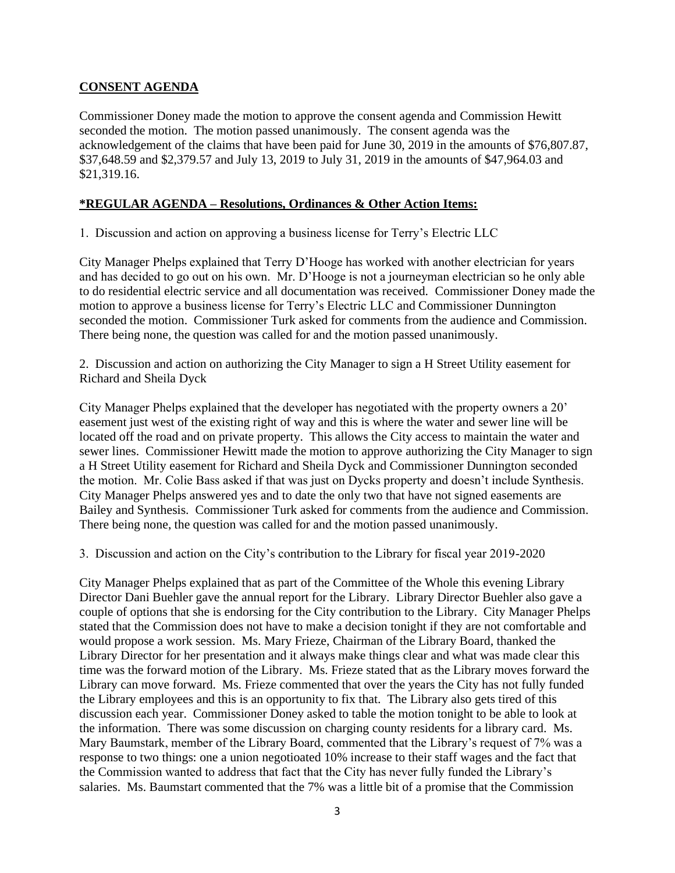## **CONSENT AGENDA**

Commissioner Doney made the motion to approve the consent agenda and Commission Hewitt seconded the motion. The motion passed unanimously. The consent agenda was the acknowledgement of the claims that have been paid for June 30, 2019 in the amounts of \$76,807.87, \$37,648.59 and \$2,379.57 and July 13, 2019 to July 31, 2019 in the amounts of \$47,964.03 and \$21,319.16.

## **\*REGULAR AGENDA – Resolutions, Ordinances & Other Action Items:**

1. Discussion and action on approving a business license for Terry's Electric LLC

City Manager Phelps explained that Terry D'Hooge has worked with another electrician for years and has decided to go out on his own. Mr. D'Hooge is not a journeyman electrician so he only able to do residential electric service and all documentation was received. Commissioner Doney made the motion to approve a business license for Terry's Electric LLC and Commissioner Dunnington seconded the motion. Commissioner Turk asked for comments from the audience and Commission. There being none, the question was called for and the motion passed unanimously.

2. Discussion and action on authorizing the City Manager to sign a H Street Utility easement for Richard and Sheila Dyck

City Manager Phelps explained that the developer has negotiated with the property owners a 20' easement just west of the existing right of way and this is where the water and sewer line will be located off the road and on private property. This allows the City access to maintain the water and sewer lines. Commissioner Hewitt made the motion to approve authorizing the City Manager to sign a H Street Utility easement for Richard and Sheila Dyck and Commissioner Dunnington seconded the motion. Mr. Colie Bass asked if that was just on Dycks property and doesn't include Synthesis. City Manager Phelps answered yes and to date the only two that have not signed easements are Bailey and Synthesis. Commissioner Turk asked for comments from the audience and Commission. There being none, the question was called for and the motion passed unanimously.

3. Discussion and action on the City's contribution to the Library for fiscal year 2019-2020

City Manager Phelps explained that as part of the Committee of the Whole this evening Library Director Dani Buehler gave the annual report for the Library. Library Director Buehler also gave a couple of options that she is endorsing for the City contribution to the Library. City Manager Phelps stated that the Commission does not have to make a decision tonight if they are not comfortable and would propose a work session. Ms. Mary Frieze, Chairman of the Library Board, thanked the Library Director for her presentation and it always make things clear and what was made clear this time was the forward motion of the Library. Ms. Frieze stated that as the Library moves forward the Library can move forward. Ms. Frieze commented that over the years the City has not fully funded the Library employees and this is an opportunity to fix that. The Library also gets tired of this discussion each year. Commissioner Doney asked to table the motion tonight to be able to look at the information. There was some discussion on charging county residents for a library card. Ms. Mary Baumstark, member of the Library Board, commented that the Library's request of 7% was a response to two things: one a union negotioated 10% increase to their staff wages and the fact that the Commission wanted to address that fact that the City has never fully funded the Library's salaries. Ms. Baumstart commented that the 7% was a little bit of a promise that the Commission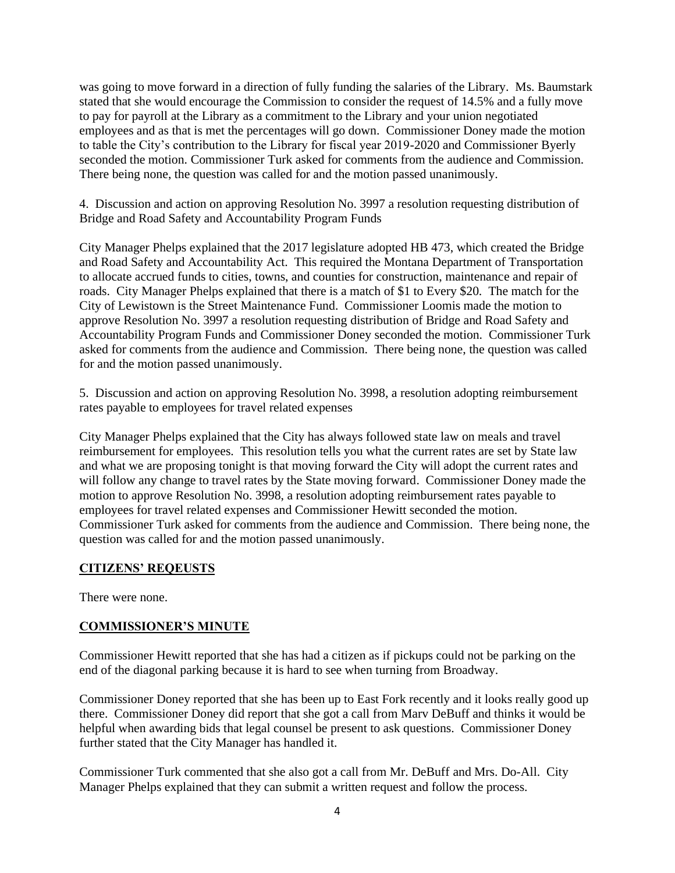was going to move forward in a direction of fully funding the salaries of the Library. Ms. Baumstark stated that she would encourage the Commission to consider the request of 14.5% and a fully move to pay for payroll at the Library as a commitment to the Library and your union negotiated employees and as that is met the percentages will go down. Commissioner Doney made the motion to table the City's contribution to the Library for fiscal year 2019-2020 and Commissioner Byerly seconded the motion. Commissioner Turk asked for comments from the audience and Commission. There being none, the question was called for and the motion passed unanimously.

4. Discussion and action on approving Resolution No. 3997 a resolution requesting distribution of Bridge and Road Safety and Accountability Program Funds

City Manager Phelps explained that the 2017 legislature adopted HB 473, which created the Bridge and Road Safety and Accountability Act. This required the Montana Department of Transportation to allocate accrued funds to cities, towns, and counties for construction, maintenance and repair of roads. City Manager Phelps explained that there is a match of \$1 to Every \$20. The match for the City of Lewistown is the Street Maintenance Fund. Commissioner Loomis made the motion to approve Resolution No. 3997 a resolution requesting distribution of Bridge and Road Safety and Accountability Program Funds and Commissioner Doney seconded the motion. Commissioner Turk asked for comments from the audience and Commission. There being none, the question was called for and the motion passed unanimously.

5. Discussion and action on approving Resolution No. 3998, a resolution adopting reimbursement rates payable to employees for travel related expenses

City Manager Phelps explained that the City has always followed state law on meals and travel reimbursement for employees. This resolution tells you what the current rates are set by State law and what we are proposing tonight is that moving forward the City will adopt the current rates and will follow any change to travel rates by the State moving forward. Commissioner Doney made the motion to approve Resolution No. 3998, a resolution adopting reimbursement rates payable to employees for travel related expenses and Commissioner Hewitt seconded the motion. Commissioner Turk asked for comments from the audience and Commission. There being none, the question was called for and the motion passed unanimously.

## **CITIZENS' REQEUSTS**

There were none.

## **COMMISSIONER'S MINUTE**

Commissioner Hewitt reported that she has had a citizen as if pickups could not be parking on the end of the diagonal parking because it is hard to see when turning from Broadway.

Commissioner Doney reported that she has been up to East Fork recently and it looks really good up there. Commissioner Doney did report that she got a call from Marv DeBuff and thinks it would be helpful when awarding bids that legal counsel be present to ask questions. Commissioner Doney further stated that the City Manager has handled it.

Commissioner Turk commented that she also got a call from Mr. DeBuff and Mrs. Do-All. City Manager Phelps explained that they can submit a written request and follow the process.